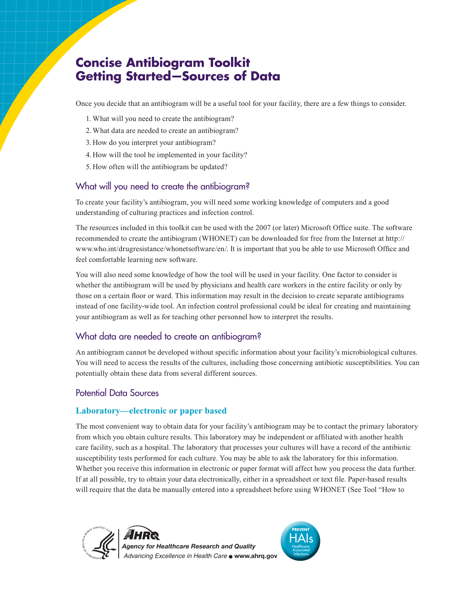# **Concise Antibiogram Toolkit Getting Started—Sources of Data**

Once you decide that an antibiogram will be a useful tool for your facility, there are a few things to consider.

- 1. What will you need to create the antibiogram?
- 2.What data are needed to create an antibiogram?
- 3. How do you interpret your antibiogram?
- 4. How will the tool be implemented in your facility?
- 5. How often will the antibiogram be updated?

# What will you need to create the antibiogram?

To create your facility's antibiogram, you will need some working knowledge of computers and a good understanding of culturing practices and infection control.

The resources included in this toolkit can be used with the 2007 (or later) Microsoft Office suite. The software recommended to create the antibiogram (WHONET) can be downloaded for free from the Internet at http:// www.who.int/drugresistance/whonetsoftware/en/. It is important that you be able to use Microsoft Office and feel comfortable learning new software.

You will also need some knowledge of how the tool will be used in your facility. One factor to consider is whether the antibiogram will be used by physicians and health care workers in the entire facility or only by those on a certain floor or ward. This information may result in the decision to create separate antibiograms instead of one facility-wide tool. An infection control professional could be ideal for creating and maintaining your antibiogram as well as for teaching other personnel how to interpret the results.

## What data are needed to create an antibiogram?

An antibiogram cannot be developed without specific information about your facility's microbiological cultures. You will need to access the results of the cultures, including those concerning antibiotic susceptibilities. You can potentially obtain these data from several different sources.

# Potential Data Sources

## **Laboratory—electronic or paper based**

The most convenient way to obtain data for your facility's antibiogram may be to contact the primary laboratory from which you obtain culture results. This laboratory may be independent or affiliated with another health care facility, such as a hospital. The laboratory that processes your cultures will have a record of the antibiotic susceptibility tests performed for each culture. You may be able to ask the laboratory for this information. Whether you receive this information in electronic or paper format will affect how you process the data further. If at all possible, try to obtain your data electronically, either in a spreadsheet or text file. Paper-based results will require that the data be manually entered into a spreadsheet before using WHONET (See Tool "How to





*Advancing Excellence in Health Care* **www.ahrq.gov** *Agency for Healthcare Research and Quality*

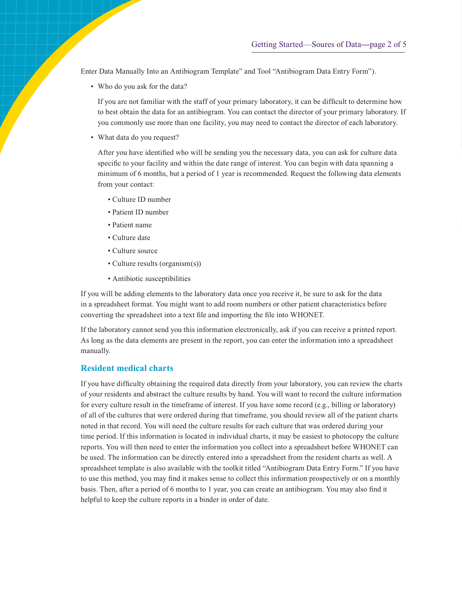Enter Data Manually Into an Antibiogram Template" and Tool "Antibiogram Data Entry Form").

• Who do you ask for the data?

If you are not familiar with the staff of your primary laboratory, it can be difficult to determine how to best obtain the data for an antibiogram. You can contact the director of your primary laboratory. If you commonly use more than one facility, you may need to contact the director of each laboratory.

• What data do you request?

After you have identified who will be sending you the necessary data, you can ask for culture data specific to your facility and within the date range of interest. You can begin with data spanning a minimum of 6 months, but a period of 1 year is recommended. Request the following data elements from your contact:

- Culture ID number
- Patient ID number
- Patient name
- Culture date
- Culture source
- Culture results (organism(s))
- Antibiotic susceptibilities

If you will be adding elements to the laboratory data once you receive it, be sure to ask for the data in a spreadsheet format. You might want to add room numbers or other patient characteristics before converting the spreadsheet into a text file and importing the file into WHONET.

If the laboratory cannot send you this information electronically, ask if you can receive a printed report. As long as the data elements are present in the report, you can enter the information into a spreadsheet manually.

#### **Resident medical charts**

If you have difficulty obtaining the required data directly from your laboratory, you can review the charts of your residents and abstract the culture results by hand. You will want to record the culture information for every culture result in the timeframe of interest. If you have some record (e.g., billing or laboratory) of all of the cultures that were ordered during that timeframe, you should review all of the patient charts noted in that record. You will need the culture results for each culture that was ordered during your time period. If this information is located in individual charts, it may be easiest to photocopy the culture reports. You will then need to enter the information you collect into a spreadsheet before WHONET can be used. The information can be directly entered into a spreadsheet from the resident charts as well. A spreadsheet template is also available with the toolkit titled "Antibiogram Data Entry Form." If you have to use this method, you may find it makes sense to collect this information prospectively or on a monthly basis. Then, after a period of 6 months to 1 year, you can create an antibiogram. You may also find it helpful to keep the culture reports in a binder in order of date.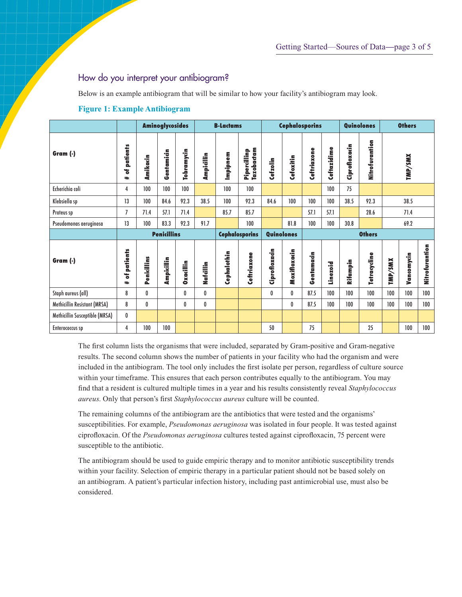## How do you interpret your antibiogram?

Below is an example antibiogram that will be similar to how your facility's antibiogram may look.

|                                |                    | <b>Aminoglycosides</b> |            |                   | <b>B-Lactams</b> |                                     |                            | <b>Cephalosporins</b> |               |             |             | Quinolones    |                | <b>Others</b> |            |                |
|--------------------------------|--------------------|------------------------|------------|-------------------|------------------|-------------------------------------|----------------------------|-----------------------|---------------|-------------|-------------|---------------|----------------|---------------|------------|----------------|
| Gram (-)                       | patients<br>F<br># | Amikacin               | Gentamicin | <b>Tobramycin</b> | Ampicillin       | Impipnem                            | Pipercillinp<br>Tazobactam | Cefzolin              | Cefoxitin     | Ceftriaxone | Ceftazidime | Ciprofloxacin | Nitrofurantion |               | TMP/SMX    |                |
| Echerichia coli                | 4                  | 100                    | 100        | 100               |                  | 100                                 | 100                        |                       |               |             | 100         | 75            |                |               |            |                |
| Klebsiella sp                  | 13                 | 100                    | 84.6       | 92.3              | 38.5             | 100                                 | 92.3                       | 84.6                  | 100           | 100         | 100         | 38.5          | 92.3           | 38.5          |            |                |
| Proteus sp                     | 7                  | 71.4                   | 57.1       | 71.4              |                  | 85.7                                | 85.7                       |                       |               | 57.1        | 57.1        |               | 28.6           | 71.4          |            |                |
| Pseudomonas aeruginosa         | 13                 | 100                    | 83.3       | 92.3              | 91.7             |                                     | 100                        |                       | 81.8          | 100         | 100         | 30.8          |                |               | 69.2       |                |
|                                |                    | <b>Penicillins</b>     |            |                   |                  | <b>Cephalosporins</b><br>Quinolones |                            |                       | <b>Others</b> |             |             |               |                |               |            |                |
| Gram (-)                       | patients<br>៵<br># | Penicillins            | Ampicillin | <b>Oxacillin</b>  | Nafdilin         | Cephalothin                         | Ceftriaxone                | Ciprofloxacin         | Moxifloxacin  | Gentamacin  | Linezoid    | Rifampin      | Tetracycline   | TMP/SMX       | Vancomycin | Nitrofurantion |
| Staph aureus (all)             | 8                  | $\bf{0}$               |            | 0                 | 0                |                                     |                            | 0                     | 0             | 87.5        | 100         | 100           | 100            | 100           | 100        | 100            |
| Methicillin Resistant (MRSA)   | 8                  | 0                      |            | 0                 | 0                |                                     |                            |                       | 0             | 87.5        | 100         | 100           | 100            | 100           | 100        | 100            |
| Methicillin Susceptible (MRSA) | 0                  |                        |            |                   |                  |                                     |                            |                       |               |             |             |               |                |               |            |                |
| Enterococcus sp                | 4                  | 100                    | 100        |                   |                  |                                     |                            | 50                    |               | 75          |             |               | 25             |               | 100        | 100            |

### **Figure 1: Example Antibiogram**

The first column lists the organisms that were included, separated by Gram-positive and Gram-negative results. The second column shows the number of patients in your facility who had the organism and were included in the antibiogram. The tool only includes the first isolate per person, regardless of culture source within your timeframe. This ensures that each person contributes equally to the antibiogram. You may find that a resident is cultured multiple times in a year and his results consistently reveal *Staphylococcus aureus*. Only that person's first *Staphylococcus aureus* culture will be counted.

The remaining columns of the antibiogram are the antibiotics that were tested and the organisms' susceptibilities. For example, *Pseudomonas aeruginosa* was isolated in four people. It was tested against ciprofloxacin. Of the *Pseudomonas aeruginosa* cultures tested against ciprofloxacin, 75 percent were susceptible to the antibiotic.

The antibiogram should be used to guide empiric therapy and to monitor antibiotic susceptibility trends within your facility. Selection of empiric therapy in a particular patient should not be based solely on an antibiogram. A patient's particular infection history, including past antimicrobial use, must also be considered.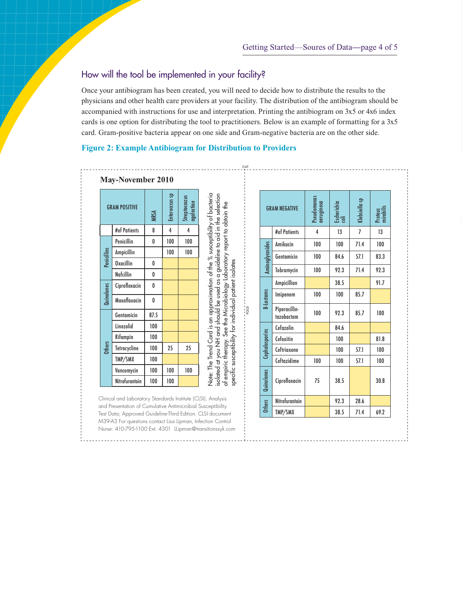# How will the tool be implemented in your facility?

Once your antibiogram has been created, you will need to decide how to distribute the results to the physicians and other health care providers at your facility. The distribution of the antibiogram should be accompanied with instructions for use and interpretation. Printing the antibiogram on 3x5 or 4x6 index cards is one option for distributing the tool to practitioners. Below is an example of formatting for a 3x5 card. Gram-positive bacteria appear on one side and Gram-negative bacteria are on the other side.

CUT

FOLD

#### **Figure 2: Example Antibiogram for Distribution to Providers**

|               | <b>GRAM POSITIVE</b> | MRSA | Enterocccus sp | Streptococcus<br>agalactiae | Note: The Trend Card is an approximation of the % susceptibility of bacteria<br>isolated at you NH and should be used as a guideline to aid in the selection |
|---------------|----------------------|------|----------------|-----------------------------|--------------------------------------------------------------------------------------------------------------------------------------------------------------|
|               | #of Patients         | 8    | 4              | 4                           |                                                                                                                                                              |
|               | Penicillin           | 0    | 100            | 100                         |                                                                                                                                                              |
|               | Ampicillin           |      | 100            | 100                         |                                                                                                                                                              |
| Penicillins   | <b>Oxacillin</b>     | 0    |                |                             |                                                                                                                                                              |
|               | <b>Nafcillin</b>     | 0    |                |                             |                                                                                                                                                              |
| Quinolones    | Ciprofloxacin        | 0    |                |                             |                                                                                                                                                              |
|               | Moxafloxacin         | 0    |                |                             |                                                                                                                                                              |
|               | Gentamicin           | 87.5 |                |                             |                                                                                                                                                              |
|               | Linezolid            | 100  |                |                             |                                                                                                                                                              |
|               | Rifampin             | 100  |                |                             |                                                                                                                                                              |
| <b>Others</b> | Tetracycline         | 100  | 25             | 25                          |                                                                                                                                                              |
|               | TMP/SMX              | 100  |                |                             |                                                                                                                                                              |
|               | Vancomycin           | 100  | 100            | 100                         |                                                                                                                                                              |
|               | Nitrofurantoin       | 100  | 100            |                             | of empiric therapy. See the Microbiology Laboratory report to obtain the                                                                                     |

|                  | <b>GRAM NEGATIVE</b>        | Pseudomonas<br>aeruginosa | Escherichia<br>coli | Klebsiella sp | Proteus<br>nirobili |  |
|------------------|-----------------------------|---------------------------|---------------------|---------------|---------------------|--|
|                  | #of Patients                | 4                         | 13                  | 7             | 13                  |  |
|                  | Amikacin                    | 100                       | 100                 | 71.4          | 100                 |  |
| Aminoglycosides  | Gentamicin                  | 100                       | 84.6                | 57.1          | 83.3                |  |
|                  | Tobramycin                  | 100                       | 92.3                | 71.4          | 92.3                |  |
|                  | Ampicillian                 |                           | 38.5                |               | 91.7                |  |
| <b>B-Lactams</b> | Imipenem                    | 100                       | 100                 | 85.7          |                     |  |
|                  | Piperacillin-<br>tazobactam | 100                       | 92.3                | 85.7          | 100                 |  |
|                  | Cefazolin                   |                           | 84.6                |               |                     |  |
| Cephalosporins   | Cefoxitin                   |                           | 100                 |               | 81.8                |  |
|                  | Ceftriaxone                 |                           | 100                 | 57.1          | 100                 |  |
|                  | Ceftazidime                 | 100                       | 100                 | 57.1          | 100                 |  |
| Quinolones       | Ciprofloxacin               | 75                        | 38.5                |               | 30.8                |  |
| <b>Others</b>    | Nitrofurantoin              |                           | 92.3                | 28.6          |                     |  |
|                  | TMP/SMX                     |                           | 38.5                | 71.4          | 69.2                |  |